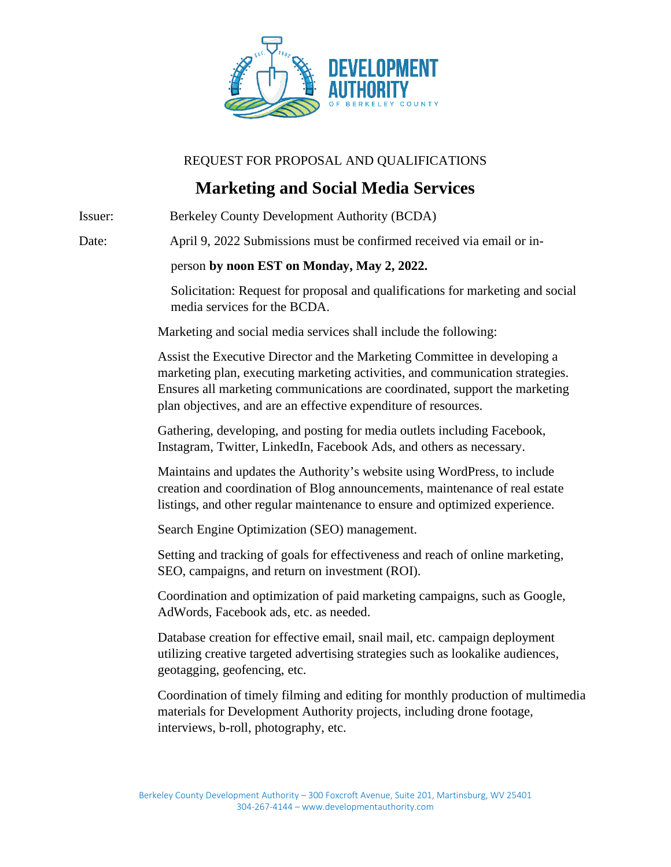

## REQUEST FOR PROPOSAL AND QUALIFICATIONS

## **Marketing and Social Media Services**

Issuer: Berkeley County Development Authority (BCDA) Date: April 9, 2022 Submissions must be confirmed received via email or in person **by noon EST on Monday, May 2, 2022.** Solicitation: Request for proposal and qualifications for marketing and social media services for the BCDA. Marketing and social media services shall include the following: Assist the Executive Director and the Marketing Committee in developing a marketing plan, executing marketing activities, and communication strategies. Ensures all marketing communications are coordinated, support the marketing plan objectives, and are an effective expenditure of resources. Gathering, developing, and posting for media outlets including Facebook, Instagram, Twitter, LinkedIn, Facebook Ads, and others as necessary. Maintains and updates the Authority's website using WordPress, to include creation and coordination of Blog announcements, maintenance of real estate listings, and other regular maintenance to ensure and optimized experience. Search Engine Optimization (SEO) management. Setting and tracking of goals for effectiveness and reach of online marketing, SEO, campaigns, and return on investment (ROI). Coordination and optimization of paid marketing campaigns, such as Google, AdWords, Facebook ads, etc. as needed. Database creation for effective email, snail mail, etc. campaign deployment utilizing creative targeted advertising strategies such as lookalike audiences, geotagging, geofencing, etc. Coordination of timely filming and editing for monthly production of multimedia materials for Development Authority projects, including drone footage, interviews, b-roll, photography, etc.